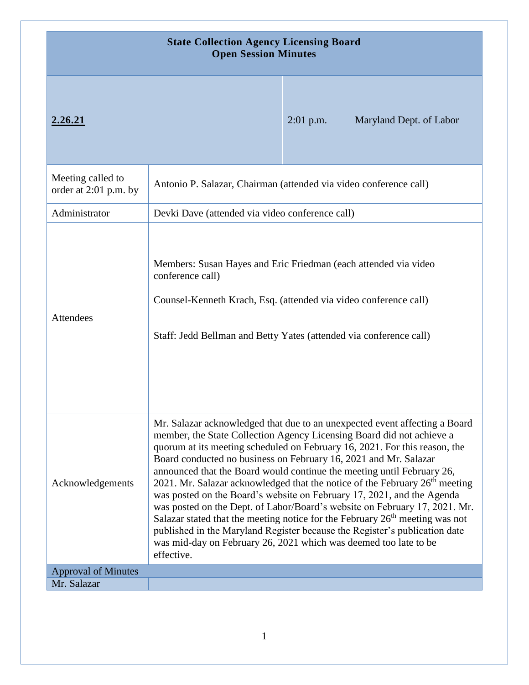| <b>State Collection Agency Licensing Board</b><br><b>Open Session Minutes</b> |                                                                                                                                                                                                                                                                                                                                                                                                                                                                                                                                                                                                                                                                                                                                                                                                                                                                                                |             |                         |  |
|-------------------------------------------------------------------------------|------------------------------------------------------------------------------------------------------------------------------------------------------------------------------------------------------------------------------------------------------------------------------------------------------------------------------------------------------------------------------------------------------------------------------------------------------------------------------------------------------------------------------------------------------------------------------------------------------------------------------------------------------------------------------------------------------------------------------------------------------------------------------------------------------------------------------------------------------------------------------------------------|-------------|-------------------------|--|
| 2.26.21                                                                       |                                                                                                                                                                                                                                                                                                                                                                                                                                                                                                                                                                                                                                                                                                                                                                                                                                                                                                | $2:01$ p.m. | Maryland Dept. of Labor |  |
| Meeting called to<br>order at 2:01 p.m. by                                    | Antonio P. Salazar, Chairman (attended via video conference call)                                                                                                                                                                                                                                                                                                                                                                                                                                                                                                                                                                                                                                                                                                                                                                                                                              |             |                         |  |
| Administrator                                                                 | Devki Dave (attended via video conference call)                                                                                                                                                                                                                                                                                                                                                                                                                                                                                                                                                                                                                                                                                                                                                                                                                                                |             |                         |  |
| Attendees                                                                     | Members: Susan Hayes and Eric Friedman (each attended via video<br>conference call)<br>Counsel-Kenneth Krach, Esq. (attended via video conference call)<br>Staff: Jedd Bellman and Betty Yates (attended via conference call)                                                                                                                                                                                                                                                                                                                                                                                                                                                                                                                                                                                                                                                                  |             |                         |  |
| Acknowledgements                                                              | Mr. Salazar acknowledged that due to an unexpected event affecting a Board<br>member, the State Collection Agency Licensing Board did not achieve a<br>quorum at its meeting scheduled on February 16, 2021. For this reason, the<br>Board conducted no business on February 16, 2021 and Mr. Salazar<br>announced that the Board would continue the meeting until February 26,<br>2021. Mr. Salazar acknowledged that the notice of the February 26 <sup>th</sup> meeting<br>was posted on the Board's website on February 17, 2021, and the Agenda<br>was posted on the Dept. of Labor/Board's website on February 17, 2021. Mr.<br>Salazar stated that the meeting notice for the February 26 <sup>th</sup> meeting was not<br>published in the Maryland Register because the Register's publication date<br>was mid-day on February 26, 2021 which was deemed too late to be<br>effective. |             |                         |  |
| <b>Approval of Minutes</b>                                                    |                                                                                                                                                                                                                                                                                                                                                                                                                                                                                                                                                                                                                                                                                                                                                                                                                                                                                                |             |                         |  |
| Mr. Salazar                                                                   |                                                                                                                                                                                                                                                                                                                                                                                                                                                                                                                                                                                                                                                                                                                                                                                                                                                                                                |             |                         |  |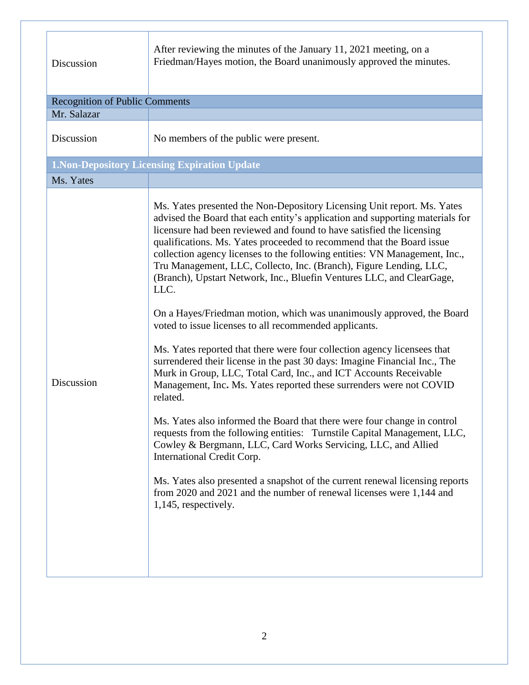| Discussion                                           | After reviewing the minutes of the January 11, 2021 meeting, on a<br>Friedman/Hayes motion, the Board unanimously approved the minutes.                                                                                                                                                                                                                                                                                                                                                                                                                                                                                                                                                                                                                                                                                                                                                                                                                                                                                                                                                                                                                                                                                                                                                                                                                                                                                                     |  |  |  |
|------------------------------------------------------|---------------------------------------------------------------------------------------------------------------------------------------------------------------------------------------------------------------------------------------------------------------------------------------------------------------------------------------------------------------------------------------------------------------------------------------------------------------------------------------------------------------------------------------------------------------------------------------------------------------------------------------------------------------------------------------------------------------------------------------------------------------------------------------------------------------------------------------------------------------------------------------------------------------------------------------------------------------------------------------------------------------------------------------------------------------------------------------------------------------------------------------------------------------------------------------------------------------------------------------------------------------------------------------------------------------------------------------------------------------------------------------------------------------------------------------------|--|--|--|
| <b>Recognition of Public Comments</b>                |                                                                                                                                                                                                                                                                                                                                                                                                                                                                                                                                                                                                                                                                                                                                                                                                                                                                                                                                                                                                                                                                                                                                                                                                                                                                                                                                                                                                                                             |  |  |  |
| Mr. Salazar                                          |                                                                                                                                                                                                                                                                                                                                                                                                                                                                                                                                                                                                                                                                                                                                                                                                                                                                                                                                                                                                                                                                                                                                                                                                                                                                                                                                                                                                                                             |  |  |  |
| Discussion                                           | No members of the public were present.                                                                                                                                                                                                                                                                                                                                                                                                                                                                                                                                                                                                                                                                                                                                                                                                                                                                                                                                                                                                                                                                                                                                                                                                                                                                                                                                                                                                      |  |  |  |
| <b>1. Non-Depository Licensing Expiration Update</b> |                                                                                                                                                                                                                                                                                                                                                                                                                                                                                                                                                                                                                                                                                                                                                                                                                                                                                                                                                                                                                                                                                                                                                                                                                                                                                                                                                                                                                                             |  |  |  |
| Ms. Yates                                            |                                                                                                                                                                                                                                                                                                                                                                                                                                                                                                                                                                                                                                                                                                                                                                                                                                                                                                                                                                                                                                                                                                                                                                                                                                                                                                                                                                                                                                             |  |  |  |
| Discussion                                           | Ms. Yates presented the Non-Depository Licensing Unit report. Ms. Yates<br>advised the Board that each entity's application and supporting materials for<br>licensure had been reviewed and found to have satisfied the licensing<br>qualifications. Ms. Yates proceeded to recommend that the Board issue<br>collection agency licenses to the following entities: VN Management, Inc.,<br>Tru Management, LLC, Collecto, Inc. (Branch), Figure Lending, LLC,<br>(Branch), Upstart Network, Inc., Bluefin Ventures LLC, and ClearGage,<br>LLC.<br>On a Hayes/Friedman motion, which was unanimously approved, the Board<br>voted to issue licenses to all recommended applicants.<br>Ms. Yates reported that there were four collection agency licensees that<br>surrendered their license in the past 30 days: Imagine Financial Inc., The<br>Murk in Group, LLC, Total Card, Inc., and ICT Accounts Receivable<br>Management, Inc. Ms. Yates reported these surrenders were not COVID<br>related.<br>Ms. Yates also informed the Board that there were four change in control<br>requests from the following entities: Turnstile Capital Management, LLC,<br>Cowley & Bergmann, LLC, Card Works Servicing, LLC, and Allied<br>International Credit Corp.<br>Ms. Yates also presented a snapshot of the current renewal licensing reports<br>from 2020 and 2021 and the number of renewal licenses were 1,144 and<br>1,145, respectively. |  |  |  |